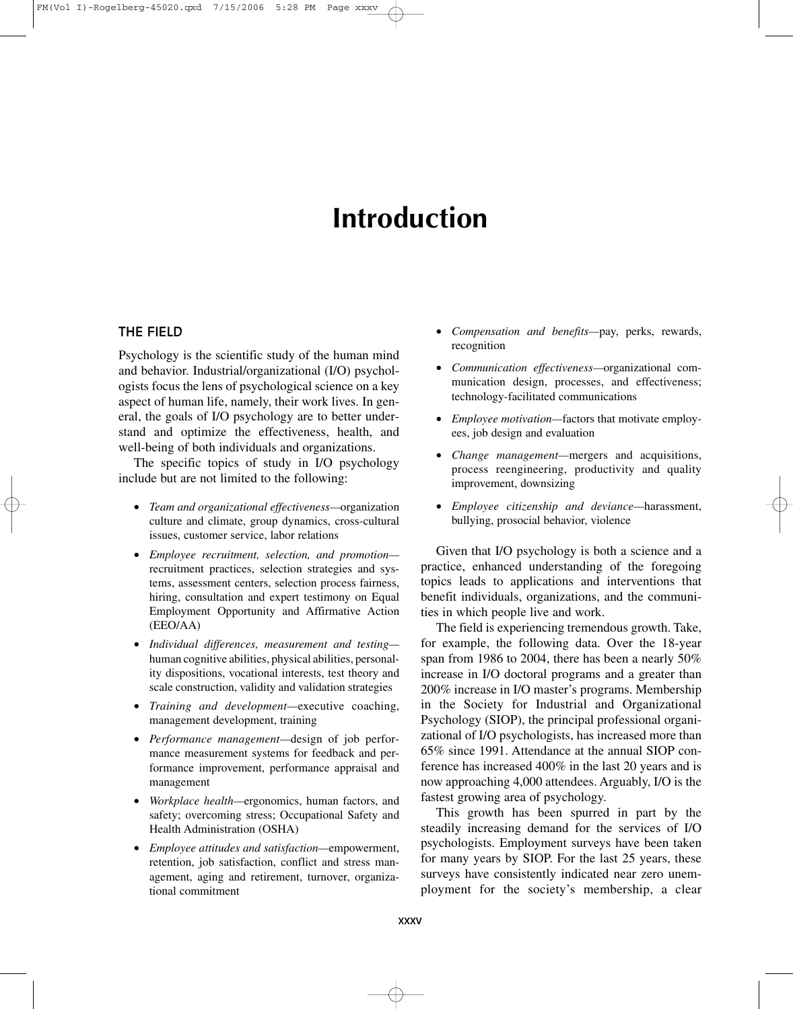# **Introduction**

# THE FIELD

Psychology is the scientific study of the human mind and behavior. Industrial/organizational (I/O) psychologists focus the lens of psychological science on a key aspect of human life, namely, their work lives. In general, the goals of I/O psychology are to better understand and optimize the effectiveness, health, and well-being of both individuals and organizations.

The specific topics of study in I/O psychology include but are not limited to the following:

- *Team and organizational effectiveness—*organization culture and climate, group dynamics, cross-cultural issues, customer service, labor relations
- *Employee recruitment, selection, and promotion* recruitment practices, selection strategies and systems, assessment centers, selection process fairness, hiring, consultation and expert testimony on Equal Employment Opportunity and Affirmative Action (EEO/AA)
- *Individual differences, measurement and testing* human cognitive abilities, physical abilities, personality dispositions, vocational interests, test theory and scale construction, validity and validation strategies
- *Training and development—*executive coaching, management development, training
- *Performance management—*design of job performance measurement systems for feedback and performance improvement, performance appraisal and management
- *Workplace health—*ergonomics, human factors, and safety; overcoming stress; Occupational Safety and Health Administration (OSHA)
- *Employee attitudes and satisfaction—*empowerment, retention, job satisfaction, conflict and stress management, aging and retirement, turnover, organizational commitment
- *Compensation and benefits—*pay, perks, rewards, recognition
- *Communication effectiveness—*organizational communication design, processes, and effectiveness; technology-facilitated communications
- *Employee motivation—*factors that motivate employees, job design and evaluation
- *Change management—*mergers and acquisitions, process reengineering, productivity and quality improvement, downsizing
- *Employee citizenship and deviance—*harassment, bullying, prosocial behavior, violence

Given that I/O psychology is both a science and a practice, enhanced understanding of the foregoing topics leads to applications and interventions that benefit individuals, organizations, and the communities in which people live and work.

The field is experiencing tremendous growth. Take, for example, the following data. Over the 18-year span from 1986 to 2004, there has been a nearly 50% increase in I/O doctoral programs and a greater than 200% increase in I/O master's programs. Membership in the Society for Industrial and Organizational Psychology (SIOP), the principal professional organizational of I/O psychologists, has increased more than 65% since 1991. Attendance at the annual SIOP conference has increased 400% in the last 20 years and is now approaching 4,000 attendees. Arguably, I/O is the fastest growing area of psychology.

This growth has been spurred in part by the steadily increasing demand for the services of I/O psychologists. Employment surveys have been taken for many years by SIOP. For the last 25 years, these surveys have consistently indicated near zero unemployment for the society's membership, a clear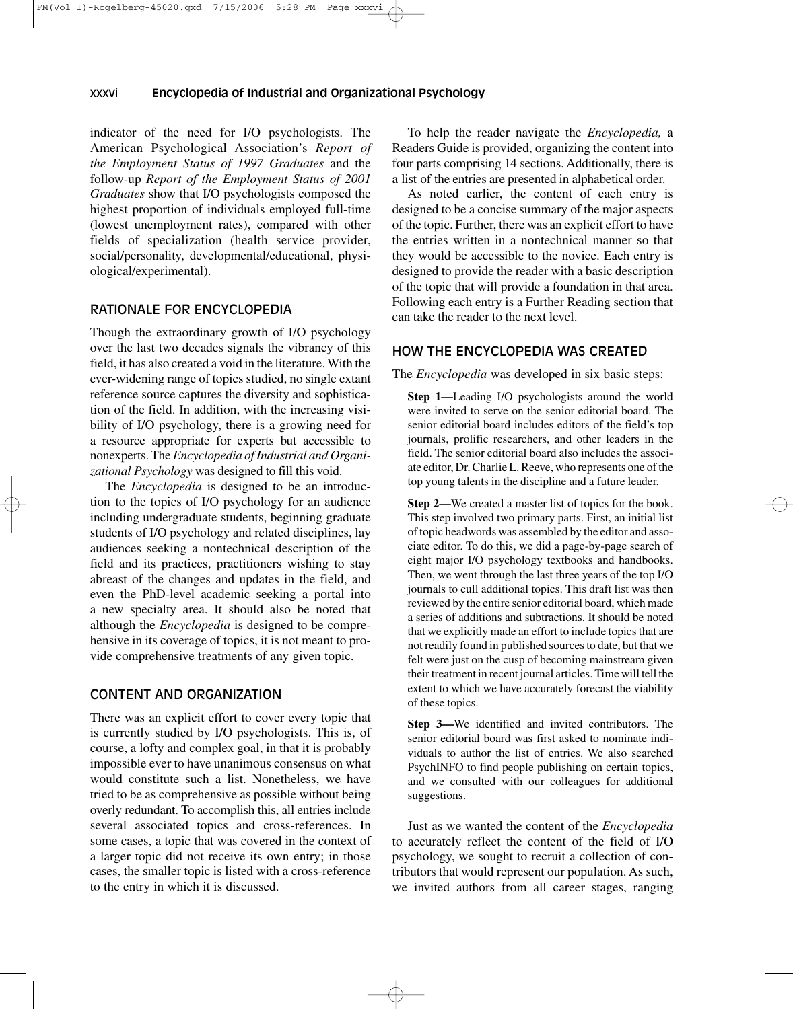#### xxxvi———**Encyclopedia of Industrial and Organizational Psychology**

indicator of the need for I/O psychologists. The American Psychological Association's *Report of the Employment Status of 1997 Graduates* and the follow-up *Report of the Employment Status of 2001 Graduates* show that I/O psychologists composed the highest proportion of individuals employed full-time (lowest unemployment rates), compared with other fields of specialization (health service provider, social/personality, developmental/educational, physiological/experimental).

# RATIONALE FOR ENCYCLOPEDIA

Though the extraordinary growth of I/O psychology over the last two decades signals the vibrancy of this field, it has also created a void in the literature. With the ever-widening range of topics studied, no single extant reference source captures the diversity and sophistication of the field. In addition, with the increasing visibility of I/O psychology, there is a growing need for a resource appropriate for experts but accessible to nonexperts. The *Encyclopedia of Industrial and Organizational Psychology* was designed to fill this void.

The *Encyclopedia* is designed to be an introduction to the topics of I/O psychology for an audience including undergraduate students, beginning graduate students of I/O psychology and related disciplines, lay audiences seeking a nontechnical description of the field and its practices, practitioners wishing to stay abreast of the changes and updates in the field, and even the PhD-level academic seeking a portal into a new specialty area. It should also be noted that although the *Encyclopedia* is designed to be comprehensive in its coverage of topics, it is not meant to provide comprehensive treatments of any given topic.

# CONTENT AND ORGANIZATION

There was an explicit effort to cover every topic that is currently studied by I/O psychologists. This is, of course, a lofty and complex goal, in that it is probably impossible ever to have unanimous consensus on what would constitute such a list. Nonetheless, we have tried to be as comprehensive as possible without being overly redundant. To accomplish this, all entries include several associated topics and cross-references. In some cases, a topic that was covered in the context of a larger topic did not receive its own entry; in those cases, the smaller topic is listed with a cross-reference to the entry in which it is discussed.

To help the reader navigate the *Encyclopedia,* a Readers Guide is provided, organizing the content into four parts comprising 14 sections. Additionally, there is a list of the entries are presented in alphabetical order.

As noted earlier, the content of each entry is designed to be a concise summary of the major aspects of the topic. Further, there was an explicit effort to have the entries written in a nontechnical manner so that they would be accessible to the novice. Each entry is designed to provide the reader with a basic description of the topic that will provide a foundation in that area. Following each entry is a Further Reading section that can take the reader to the next level.

# HOW THE ENCYCLOPEDIA WAS CREATED

The *Encyclopedia* was developed in six basic steps:

**Step 1—**Leading I/O psychologists around the world were invited to serve on the senior editorial board. The senior editorial board includes editors of the field's top journals, prolific researchers, and other leaders in the field. The senior editorial board also includes the associate editor, Dr. Charlie L. Reeve, who represents one of the top young talents in the discipline and a future leader.

**Step 2—**We created a master list of topics for the book. This step involved two primary parts. First, an initial list of topic headwords was assembled by the editor and associate editor. To do this, we did a page-by-page search of eight major I/O psychology textbooks and handbooks. Then, we went through the last three years of the top I/O journals to cull additional topics. This draft list was then reviewed by the entire senior editorial board, which made a series of additions and subtractions. It should be noted that we explicitly made an effort to include topics that are not readily found in published sources to date, but that we felt were just on the cusp of becoming mainstream given their treatment in recent journal articles. Time will tell the extent to which we have accurately forecast the viability of these topics.

**Step 3—**We identified and invited contributors. The senior editorial board was first asked to nominate individuals to author the list of entries. We also searched PsychINFO to find people publishing on certain topics, and we consulted with our colleagues for additional suggestions.

Just as we wanted the content of the *Encyclopedia* to accurately reflect the content of the field of I/O psychology, we sought to recruit a collection of contributors that would represent our population. As such, we invited authors from all career stages, ranging